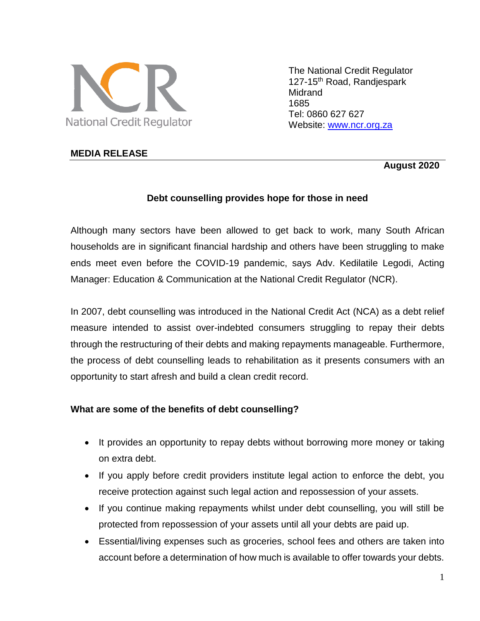

The National Credit Regulator 127-15<sup>th</sup> Road, Randjespark **Midrand** 1685 Tel: 0860 627 627 Website: [www.ncr.org.za](http://www.ncr.org.za/)

## **MEDIA RELEASE**

 **August 2020**

## **Debt counselling provides hope for those in need**

Although many sectors have been allowed to get back to work, many South African households are in significant financial hardship and others have been struggling to make ends meet even before the COVID-19 pandemic, says Adv. Kedilatile Legodi, Acting Manager: Education & Communication at the National Credit Regulator (NCR).

In 2007, debt counselling was introduced in the National Credit Act (NCA) as a debt relief measure intended to assist over-indebted consumers struggling to repay their debts through the restructuring of their debts and making repayments manageable. Furthermore, the process of debt counselling leads to rehabilitation as it presents consumers with an opportunity to start afresh and build a clean credit record.

#### **What are some of the benefits of debt counselling?**

- It provides an opportunity to repay debts without borrowing more money or taking on extra debt.
- If you apply before credit providers institute legal action to enforce the debt, you receive protection against such legal action and repossession of your assets.
- If you continue making repayments whilst under debt counselling, you will still be protected from repossession of your assets until all your debts are paid up.
- Essential/living expenses such as groceries, school fees and others are taken into account before a determination of how much is available to offer towards your debts.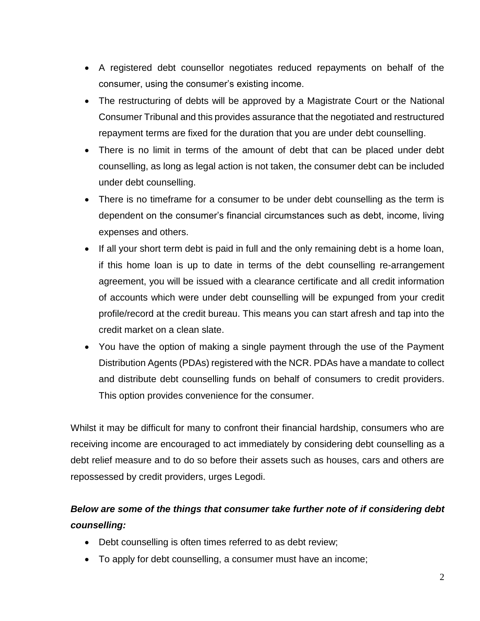- A registered debt counsellor negotiates reduced repayments on behalf of the consumer, using the consumer's existing income.
- The restructuring of debts will be approved by a Magistrate Court or the National Consumer Tribunal and this provides assurance that the negotiated and restructured repayment terms are fixed for the duration that you are under debt counselling.
- There is no limit in terms of the amount of debt that can be placed under debt counselling, as long as legal action is not taken, the consumer debt can be included under debt counselling.
- There is no timeframe for a consumer to be under debt counselling as the term is dependent on the consumer's financial circumstances such as debt, income, living expenses and others.
- If all your short term debt is paid in full and the only remaining debt is a home loan, if this home loan is up to date in terms of the debt counselling re-arrangement agreement, you will be issued with a clearance certificate and all credit information of accounts which were under debt counselling will be expunged from your credit profile/record at the credit bureau. This means you can start afresh and tap into the credit market on a clean slate.
- You have the option of making a single payment through the use of the Payment Distribution Agents (PDAs) registered with the NCR. PDAs have a mandate to collect and distribute debt counselling funds on behalf of consumers to credit providers. This option provides convenience for the consumer.

Whilst it may be difficult for many to confront their financial hardship, consumers who are receiving income are encouraged to act immediately by considering debt counselling as a debt relief measure and to do so before their assets such as houses, cars and others are repossessed by credit providers, urges Legodi.

# *Below are some of the things that consumer take further note of if considering debt counselling:*

- Debt counselling is often times referred to as debt review;
- To apply for debt counselling, a consumer must have an income;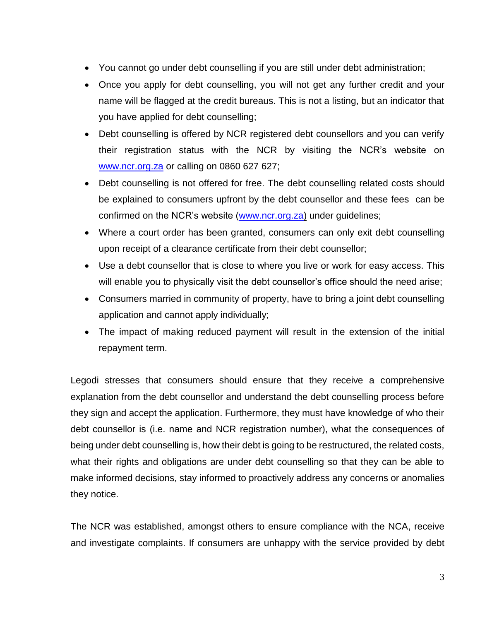- You cannot go under debt counselling if you are still under debt administration;
- Once you apply for debt counselling, you will not get any further credit and your name will be flagged at the credit bureaus. This is not a listing, but an indicator that you have applied for debt counselling;
- Debt counselling is offered by NCR registered debt counsellors and you can verify their registration status with the NCR by visiting the NCR's website on [www.ncr.org.za](http://www.ncr.org.za/) or calling on 0860 627 627;
- Debt counselling is not offered for free. The debt counselling related costs should be explained to consumers upfront by the debt counsellor and these fees can be confirmed on the NCR's website [\(www.ncr.org.za\)](http://www.ncr.org.za/) under guidelines;
- Where a court order has been granted, consumers can only exit debt counselling upon receipt of a clearance certificate from their debt counsellor;
- Use a debt counsellor that is close to where you live or work for easy access. This will enable you to physically visit the debt counsellor's office should the need arise;
- Consumers married in community of property, have to bring a joint debt counselling application and cannot apply individually;
- The impact of making reduced payment will result in the extension of the initial repayment term.

Legodi stresses that consumers should ensure that they receive a comprehensive explanation from the debt counsellor and understand the debt counselling process before they sign and accept the application. Furthermore, they must have knowledge of who their debt counsellor is (i.e. name and NCR registration number), what the consequences of being under debt counselling is, how their debt is going to be restructured, the related costs, what their rights and obligations are under debt counselling so that they can be able to make informed decisions, stay informed to proactively address any concerns or anomalies they notice.

The NCR was established, amongst others to ensure compliance with the NCA, receive and investigate complaints. If consumers are unhappy with the service provided by debt